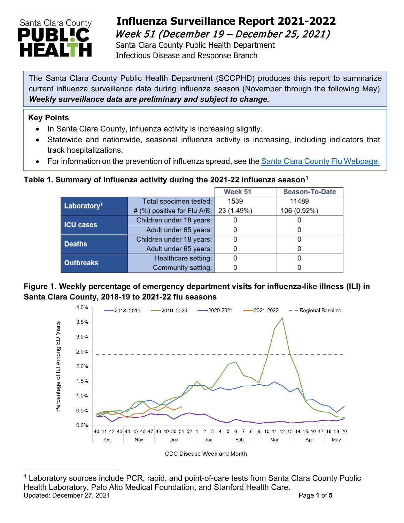

## **Influenza Surveillance Report 2021-2022**  Week 51 (December 19 – December 25, 2021)

 Santa Clara County Public Health Department Infectious Disease and Response Branch

The Santa Clara County Public Health Department (SCCPHD) produces this report to summarize current influenza surveillance data during influenza season (November through the following May). *Weekly surveillance data are preliminary and subject to change.*

#### **Key Points**

- In Santa Clara County, influenza activity is increasing slightly.
- Statewide and nationwide, seasonal influenza activity is increasing, including indicators that track hospitalizations.
- For information on the prevention of influenza spread, see the [Santa Clara County Flu Webpage.](https://publichealth.sccgov.org/disease-information/influenza-flu)

### **Table 1. Summary of influenza activity during the 2021-22 influenza season[1](#page-0-0)**

|                         |                                        | Week 51 | Season-To-Date |
|-------------------------|----------------------------------------|---------|----------------|
| Laboratory <sup>1</sup> | Total specimen tested:                 | 1539    | 11489          |
|                         | # (%) positive for Flu A/B: 23 (1.49%) |         | 106 (0.92%)    |
| <b>ICU cases</b>        | Children under 18 years:               |         |                |
|                         | Adult under 65 years:                  |         |                |
| <b>Deaths</b>           | Children under 18 years:               |         |                |
|                         | Adult under 65 years:                  |         |                |
| <b>Outbreaks</b>        | Healthcare setting:                    |         |                |
|                         | Community setting:                     |         |                |

### **Figure 1. Weekly percentage of emergency department visits for influenza-like illness (ILI) in Santa Clara County, 2018-19 to 2021-22 flu seasons**



<span id="page-0-0"></span><sup>&</sup>lt;sup>1</sup> Laboratory sources include PCR, rapid, and point-of-care tests from Santa Clara County Public Health Laboratory, Palo Alto Medical Foundation, and Stanford Health Care. Updated: December 27, 2021 **Page 1** of **5**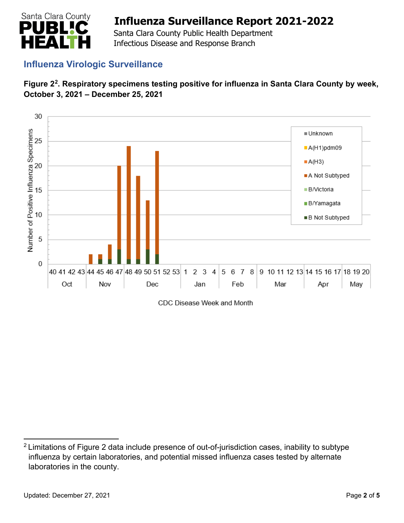

 Santa Clara County Public Health Department Infectious Disease and Response Branch

### **Influenza Virologic Surveillance**





CDC Disease Week and Month

<span id="page-1-0"></span><sup>&</sup>lt;sup>2</sup> Limitations of Figure 2 data include presence of out-of-jurisdiction cases, inability to subtype influenza by certain laboratories, and potential missed influenza cases tested by alternate laboratories in the county.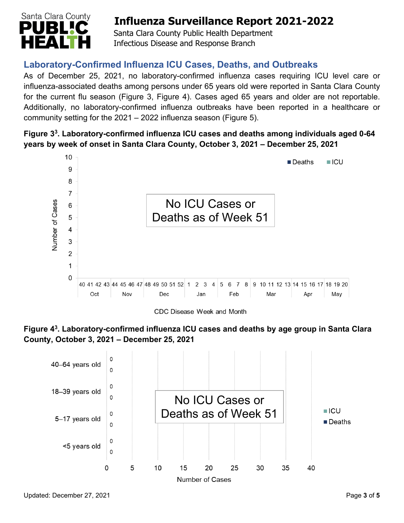

 Santa Clara County Public Health Department Infectious Disease and Response Branch

## **Laboratory-Confirmed Influenza ICU Cases, Deaths, and Outbreaks**

As of December 25, 2021, no laboratory-confirmed influenza cases requiring ICU level care or influenza-associated deaths among persons under 65 years old were reported in Santa Clara County for the current flu season (Figure 3, Figure 4). Cases aged 65 years and older are not reportable. Additionally, no laboratory-confirmed influenza outbreaks have been reported in a healthcare or community setting for the 2021 – 2022 influenza season (Figure 5).

### **Figure 33. Laboratory-confirmed influenza ICU cases and deaths among individuals aged 0-64 years by week of onset in Santa Clara County, October 3, 2021 – December 25, 2021**



**Figure 43. Laboratory-confirmed influenza ICU cases and deaths by age group in Santa Clara County, October 3, 2021 – December 25, 2021** 

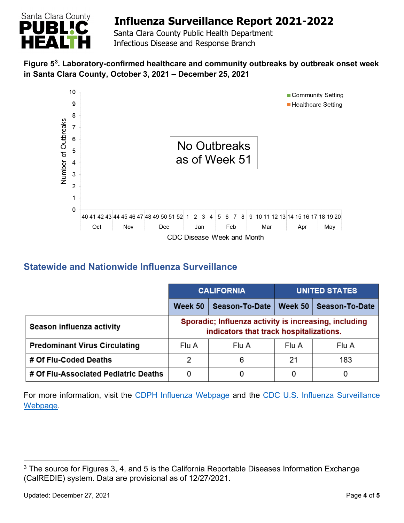

 Santa Clara County Public Health Department Infectious Disease and Response Branch

### **Figure 5[3.](#page-3-0) Laboratory-confirmed healthcare and community outbreaks by outbreak onset week in Santa Clara County, October 3, 2021 – December 25, 2021**



## **Statewide and Nationwide Influenza Surveillance**

|                                      | <b>CALIFORNIA</b>                                                                                |                | <b>UNITED STATES</b> |                |  |
|--------------------------------------|--------------------------------------------------------------------------------------------------|----------------|----------------------|----------------|--|
|                                      | Week 50                                                                                          | Season-To-Date | Week 50 $ $          | Season-To-Date |  |
| Season influenza activity            | Sporadic; Influenza activity is increasing, including<br>indicators that track hospitalizations. |                |                      |                |  |
| <b>Predominant Virus Circulating</b> | Flu A                                                                                            | Flu A          | Flu A                | Flu A          |  |
| # Of Flu-Coded Deaths                | 2                                                                                                | 6              | 21                   | 183            |  |
| # Of Flu-Associated Pediatric Deaths | 0                                                                                                | 0              | 0                    |                |  |

For more information, visit the [CDPH Influenza Webpage](http://www.cdph.ca.gov/Programs/CID/DCDC/Pages/Immunization/Influenza.aspx) and the CDC U.S. Influenza Surveillance [Webpage.](http://www.cdc.gov/flu/weekly/)

<span id="page-3-0"></span> $3$  The source for Figures 3, 4, and 5 is the California Reportable Diseases Information Exchange (CalREDIE) system. Data are provisional as of 12/27/2021.